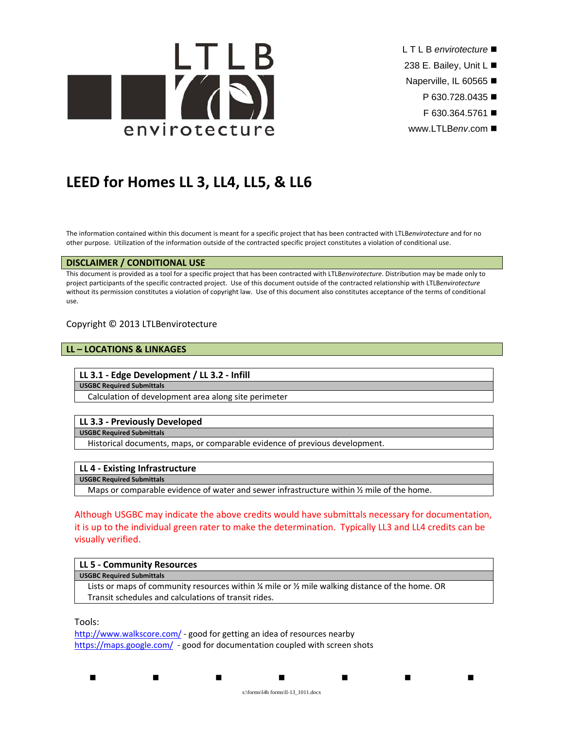

- L T L B *envirotecture*
- 238 E. Bailey, Unit L
- Naperville, IL 60565
	- P 630.728.0435 ■
	- F 630.364.5761
- www.LTLB*env*.com

# **LEED for Homes LL 3, LL4, LL5, & LL6**

The information contained within this document is meant for a specific project that has been contracted with LTLB*envirotecture* and for no other purpose. Utilization of the information outside of the contracted specific project constitutes a violation of conditional use.

### **DISCLAIMER / CONDITIONAL USE**

This document is provided as a tool for a specific project that has been contracted with LTLB*envirotecture*. Distribution may be made only to project participants of the specific contracted project. Use of this document outside of the contracted relationship with LTLB*envirotecture* without its permission constitutes a violation of copyright law. Use of this document also constitutes acceptance of the terms of conditional use.

## Copyright © 2013 LTLBenvirotecture

## **LL – LOCATIONS & LINKAGES**

#### **LL 3.1 ‐ Edge Development / LL 3.2 ‐ Infill**

#### **USGBC Required Submittals**

Calculation of development area along site perimeter

## **LL 3.3 ‐ Previously Developed**

**USGBC Required Submittals**

Historical documents, maps, or comparable evidence of previous development.

## **LL 4 ‐ Existing Infrastructure**

**USGBC Required Submittals**

Maps or comparable evidence of water and sewer infrastructure within  $\frac{1}{2}$  mile of the home.

Although USGBC may indicate the above credits would have submittals necessary for documentation, it is up to the individual green rater to make the determination. Typically LL3 and LL4 credits can be visually verified.

#### **LL 5 ‐ Community Resources USGBC Required Submittals**

Lists or maps of community resources within % mile or % mile walking distance of the home. OR Transit schedules and calculations of transit rides.

Tools:

http://www.walkscore.com/ - good for getting an idea of resources nearby https://maps.google.com/ - good for documentation coupled with screen shots